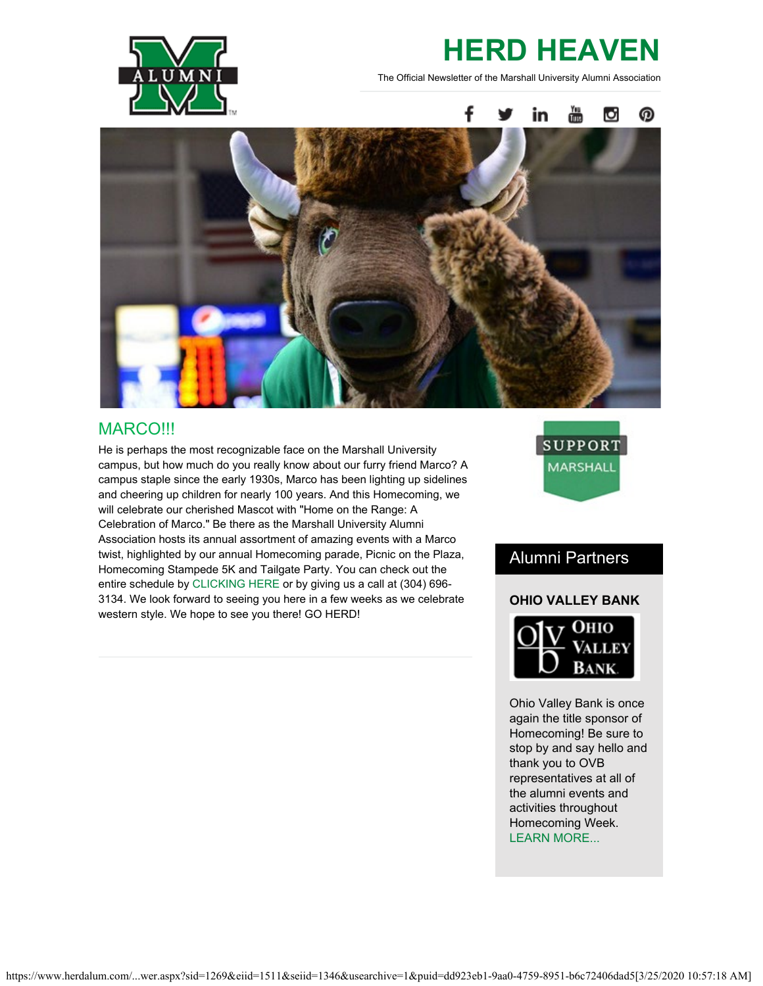

# **HERD HEAVEN**

The Official Newsletter of the Marshall University Alumni Association



### MARCO!!!

He is perhaps the most recognizable face on the Marshall University campus, but how much do you really know about our furry friend Marco? A campus staple since the early 1930s, Marco has been lighting up sidelines and cheering up children for nearly 100 years. And this Homecoming, we will celebrate our cherished Mascot with "Home on the Range: A Celebration of Marco." Be there as the Marshall University Alumni Association hosts its annual assortment of amazing events with a Marco twist, highlighted by our annual Homecoming parade, Picnic on the Plaza, Homecoming Stampede 5K and Tailgate Party. You can check out the entire schedule by [CLICKING HERE](https://www.herdalum.com/s/1269/index.aspx?sid=1269&gid=1&pgid=949) or by giving us a call at (304) 696- 3134. We look forward to seeing you here in a few weeks as we celebrate western style. We hope to see you there! GO HERD!



### Alumni Partners

### **OHIO VALLEY BANK**



Ohio Valley Bank is once again the title sponsor of Homecoming! Be sure to stop by and say hello and thank you to OVB representatives at all of the alumni events and activities throughout Homecoming Week. [LEARN MORE...](https://www.ovbc.com/)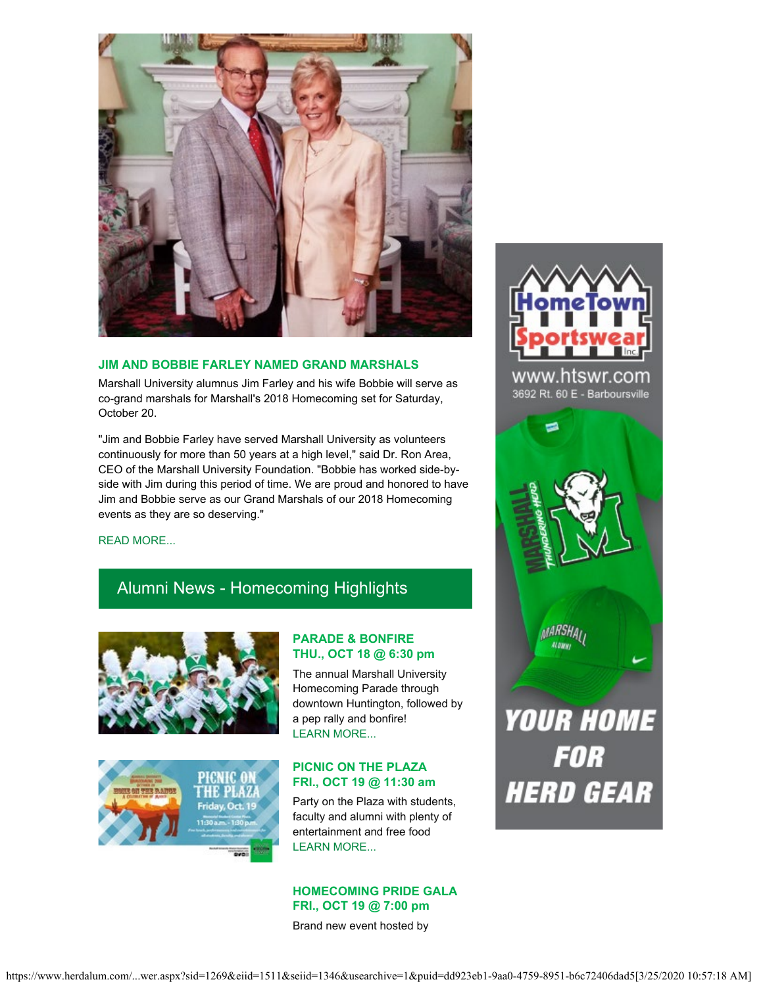

#### **JIM AND BOBBIE FARLEY NAMED GRAND MARSHALS**

Marshall University alumnus Jim Farley and his wife Bobbie will serve as co-grand marshals for Marshall's 2018 Homecoming set for Saturday, October 20.

"Jim and Bobbie Farley have served Marshall University as volunteers continuously for more than 50 years at a high level," said Dr. Ron Area, CEO of the Marshall University Foundation. "Bobbie has worked side-byside with Jim during this period of time. We are proud and honored to have Jim and Bobbie serve as our Grand Marshals of our 2018 Homecoming events as they are so deserving."



www.htswr.com 3692 Rt. 60 E - Barboursville



#### [READ MORE...](https://www.herdalum.com/s/1269/images/editor_documents/lc/herd_heaven/2018_mu_grand_marshals.pdf)

### Alumni News - Homecoming Highlights





### **PARADE & BONFIRE THU., OCT 18 @ 6:30 pm**

The annual Marshall University Homecoming Parade through downtown Huntington, followed by a pep rally and bonfire! [LEARN MORE...](https://www.herdalum.com/s/1269/index.aspx?sid=1269&gid=1&pgid=949)

### **PICNIC ON THE PLAZA FRI., OCT 19 @ 11:30 am**

Party on the Plaza with students, faculty and alumni with plenty of entertainment and free food [LEARN MORE...](https://www.herdalum.com/s/1269/index.aspx?sid=1269&gid=1&pgid=949)

### **HOMECOMING PRIDE GALA FRI., OCT 19 @ 7:00 pm**

Brand new event hosted by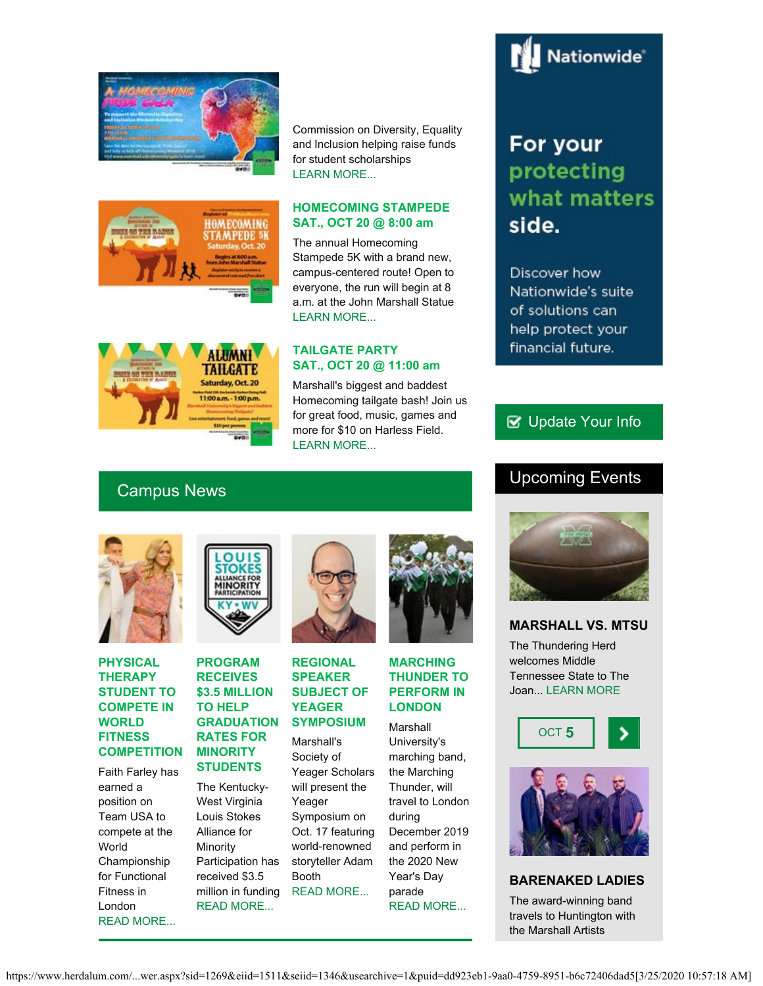



Commission on Diversity, Equality and Inclusion helping raise funds for student scholarships [LEARN MORE...](https://www.marshall.edu/diversity/gala/)

### **HOMECOMING STAMPEDE SAT., OCT 20 @ 8:00 am**

The annual Homecoming Stampede 5K with a brand new, campus-centered route! Open to everyone, the run will begin at 8 a.m. at the John Marshall Statue [LEARN MORE...](http://www.tristateracer.com/event.php?RaceID=10147)

### **ALUMNI TAILGATE** IS ON THE RADGE Saturday, Oct. 20 11:00 a.m. - 1:00 p.m.

### **TAILGATE PARTY SAT., OCT 20 @ 11:00 am**

Marshall's biggest and baddest Homecoming tailgate bash! Join us for great food, music, games and more for \$10 on Harless Field. [LEARN MORE...](https://securelb.imodules.com/s/1269/index.aspx?sid=1269&gid=1&pgid=1089)

## For your protecting what matters side.

Nationwide<sup>®</sup>

Discover how Nationwide's suite of solutions can help protect your financial future.

### **B** [Update Your Info](http://www.herdalum.com/s/1269/index.aspx?sid=1269&gid=1&pgid=6&cid=41#/Search/Simple)

### Upcoming Events





### **PHYSICAL THERAPY STUDENT TO COMPETE IN WORLD FITNESS COMPETITION**

Faith Farley has earned a position on Team USA to compete at the World Championship for Functional Fitness in London [READ MORE...](https://www.marshall.edu/ucomm/2018/10/01/marshall-physical-therapy-student-to-compete-in-2018-world-championship-for-functional-fitness-oct-5-7/)



### **PROGRAM RECEIVES \$3.5 MILLION TO HELP GRADUATION RATES FOR MINORITY STUDENTS**

The Kentucky-West Virginia Louis Stokes Alliance for Minority Participation has received \$3.5 million in funding [READ MORE...](https://www.marshall.edu/ucomm/2018/10/02/louis-stokes-alliance-program-receives-3-5-million-to-increase-academic-outcomes-and-graduation-rates-for-minority-stem-students/)



### **REGIONAL SPEAKER SUBJECT OF YEAGER SYMPOSIUM**

Marshall's Society of Yeager Scholars will present the Yeager Symposium on Oct. 17 featuring world-renowned storyteller Adam Booth [READ MORE...](https://www.marshall.edu/ucomm/2018/10/01/regional-storytelling-to-be-subject-of-31st-annual-yeager-symposium/)



### **MARCHING THUNDER TO PERFORM IN LONDON**

**Marshall** University's marching band, the Marching Thunder, will travel to London during December 2019 and perform in the 2020 New Year's Day parade [READ MORE...](https://www.marshall.edu/ucomm/2018/09/19/marching-thunder-invited-to-perform-in-london/)



### **MARSHALL VS. MTSU**

The Thundering Herd welcomes Middle Tennessee State to The Joan... [LEARN MORE](https://herdzone.com/index.aspx?path=football)





### **BARENAKED LADIES**

The award-winning band travels to Huntington with the Marshall Artists